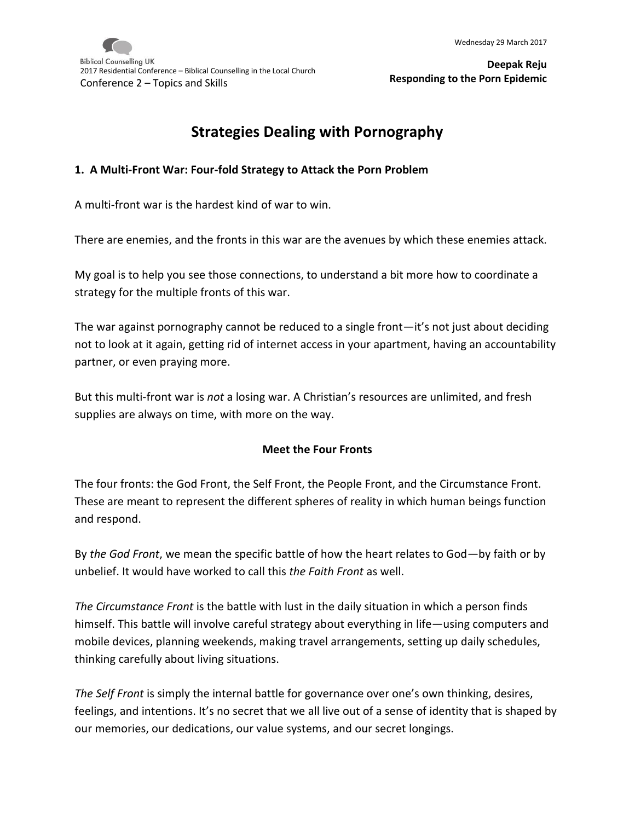# **Strategies Dealing with Pornography**

#### **1. A Multi-Front War: Four-fold Strategy to Attack the Porn Problem**

A multi-front war is the hardest kind of war to win.

There are enemies, and the fronts in this war are the avenues by which these enemies attack.

My goal is to help you see those connections, to understand a bit more how to coordinate a strategy for the multiple fronts of this war.

The war against pornography cannot be reduced to a single front—it's not just about deciding not to look at it again, getting rid of internet access in your apartment, having an accountability partner, or even praying more.

But this multi-front war is *not* a losing war. A Christian's resources are unlimited, and fresh supplies are always on time, with more on the way.

#### **Meet the Four Fronts**

The four fronts: the God Front, the Self Front, the People Front, and the Circumstance Front. These are meant to represent the different spheres of reality in which human beings function and respond.

By *the God Front*, we mean the specific battle of how the heart relates to God—by faith or by unbelief. It would have worked to call this *the Faith Front* as well.

*The Circumstance Front* is the battle with lust in the daily situation in which a person finds himself. This battle will involve careful strategy about everything in life—using computers and mobile devices, planning weekends, making travel arrangements, setting up daily schedules, thinking carefully about living situations.

*The Self Front* is simply the internal battle for governance over one's own thinking, desires, feelings, and intentions. It's no secret that we all live out of a sense of identity that is shaped by our memories, our dedications, our value systems, and our secret longings.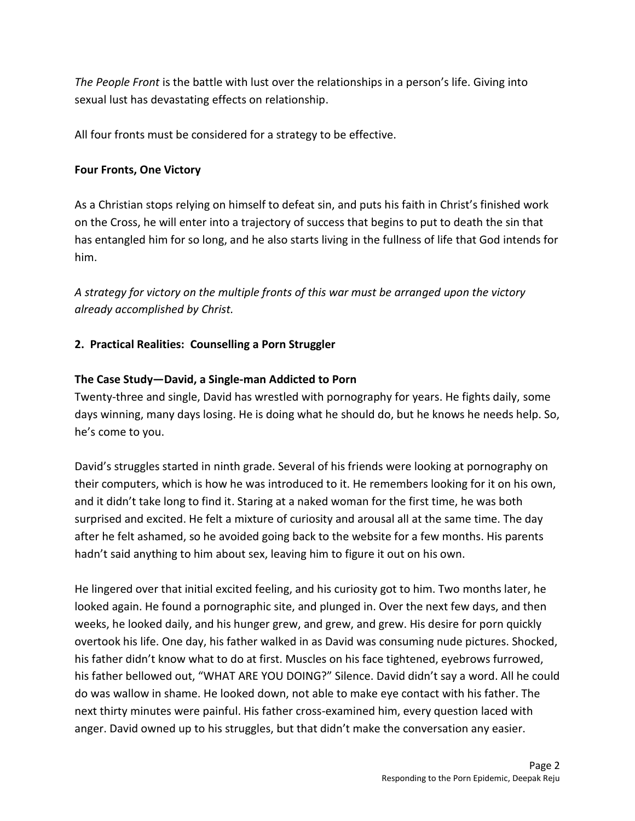*The People Front* is the battle with lust over the relationships in a person's life. Giving into sexual lust has devastating effects on relationship.

All four fronts must be considered for a strategy to be effective.

## **Four Fronts, One Victory**

As a Christian stops relying on himself to defeat sin, and puts his faith in Christ's finished work on the Cross, he will enter into a trajectory of success that begins to put to death the sin that has entangled him for so long, and he also starts living in the fullness of life that God intends for him.

*A strategy for victory on the multiple fronts of this war must be arranged upon the victory already accomplished by Christ.* 

# **2. Practical Realities: Counselling a Porn Struggler**

## **The Case Study—David, a Single-man Addicted to Porn**

Twenty-three and single, David has wrestled with pornography for years. He fights daily, some days winning, many days losing. He is doing what he should do, but he knows he needs help. So, he's come to you.

David's struggles started in ninth grade. Several of his friends were looking at pornography on their computers, which is how he was introduced to it. He remembers looking for it on his own, and it didn't take long to find it. Staring at a naked woman for the first time, he was both surprised and excited. He felt a mixture of curiosity and arousal all at the same time. The day after he felt ashamed, so he avoided going back to the website for a few months. His parents hadn't said anything to him about sex, leaving him to figure it out on his own.

He lingered over that initial excited feeling, and his curiosity got to him. Two months later, he looked again. He found a pornographic site, and plunged in. Over the next few days, and then weeks, he looked daily, and his hunger grew, and grew, and grew. His desire for porn quickly overtook his life. One day, his father walked in as David was consuming nude pictures. Shocked, his father didn't know what to do at first. Muscles on his face tightened, eyebrows furrowed, his father bellowed out, "WHAT ARE YOU DOING?" Silence. David didn't say a word. All he could do was wallow in shame. He looked down, not able to make eye contact with his father. The next thirty minutes were painful. His father cross-examined him, every question laced with anger. David owned up to his struggles, but that didn't make the conversation any easier.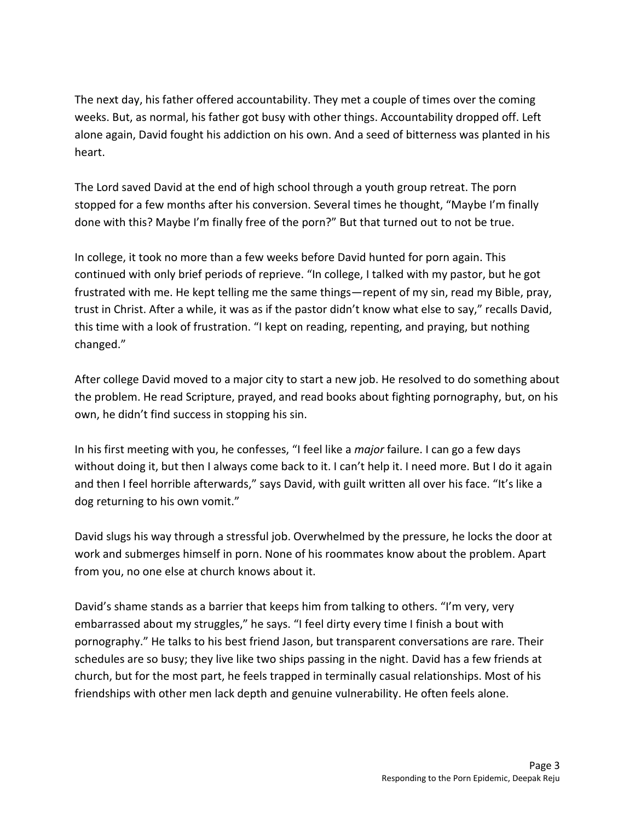The next day, his father offered accountability. They met a couple of times over the coming weeks. But, as normal, his father got busy with other things. Accountability dropped off. Left alone again, David fought his addiction on his own. And a seed of bitterness was planted in his heart.

The Lord saved David at the end of high school through a youth group retreat. The porn stopped for a few months after his conversion. Several times he thought, "Maybe I'm finally done with this? Maybe I'm finally free of the porn?" But that turned out to not be true.

In college, it took no more than a few weeks before David hunted for porn again. This continued with only brief periods of reprieve. "In college, I talked with my pastor, but he got frustrated with me. He kept telling me the same things—repent of my sin, read my Bible, pray, trust in Christ. After a while, it was as if the pastor didn't know what else to say," recalls David, this time with a look of frustration. "I kept on reading, repenting, and praying, but nothing changed."

After college David moved to a major city to start a new job. He resolved to do something about the problem. He read Scripture, prayed, and read books about fighting pornography, but, on his own, he didn't find success in stopping his sin.

In his first meeting with you, he confesses, "I feel like a *major* failure. I can go a few days without doing it, but then I always come back to it. I can't help it. I need more. But I do it again and then I feel horrible afterwards," says David, with guilt written all over his face. "It's like a dog returning to his own vomit."

David slugs his way through a stressful job. Overwhelmed by the pressure, he locks the door at work and submerges himself in porn. None of his roommates know about the problem. Apart from you, no one else at church knows about it.

David's shame stands as a barrier that keeps him from talking to others. "I'm very, very embarrassed about my struggles," he says. "I feel dirty every time I finish a bout with pornography." He talks to his best friend Jason, but transparent conversations are rare. Their schedules are so busy; they live like two ships passing in the night. David has a few friends at church, but for the most part, he feels trapped in terminally casual relationships. Most of his friendships with other men lack depth and genuine vulnerability. He often feels alone.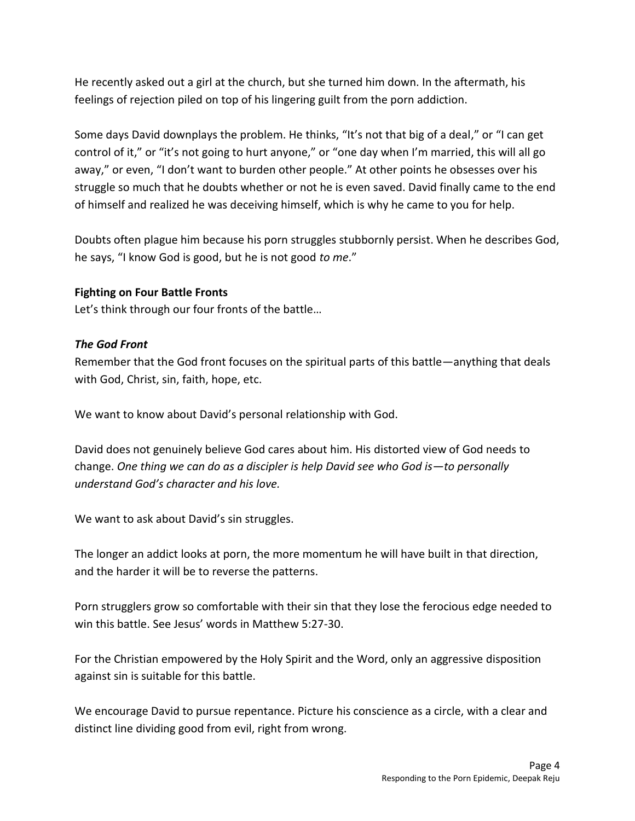He recently asked out a girl at the church, but she turned him down. In the aftermath, his feelings of rejection piled on top of his lingering guilt from the porn addiction.

Some days David downplays the problem. He thinks, "It's not that big of a deal," or "I can get control of it," or "it's not going to hurt anyone," or "one day when I'm married, this will all go away," or even, "I don't want to burden other people." At other points he obsesses over his struggle so much that he doubts whether or not he is even saved. David finally came to the end of himself and realized he was deceiving himself, which is why he came to you for help.

Doubts often plague him because his porn struggles stubbornly persist. When he describes God, he says, "I know God is good, but he is not good *to me*."

#### **Fighting on Four Battle Fronts**

Let's think through our four fronts of the battle…

#### *The God Front*

Remember that the God front focuses on the spiritual parts of this battle—anything that deals with God, Christ, sin, faith, hope, etc.

We want to know about David's personal relationship with God.

David does not genuinely believe God cares about him. His distorted view of God needs to change. *One thing we can do as a discipler is help David see who God is—to personally understand God's character and his love.* 

We want to ask about David's sin struggles.

The longer an addict looks at porn, the more momentum he will have built in that direction, and the harder it will be to reverse the patterns.

Porn strugglers grow so comfortable with their sin that they lose the ferocious edge needed to win this battle. See Jesus' words in Matthew 5:27-30.

For the Christian empowered by the Holy Spirit and the Word, only an aggressive disposition against sin is suitable for this battle.

We encourage David to pursue repentance. Picture his conscience as a circle, with a clear and distinct line dividing good from evil, right from wrong.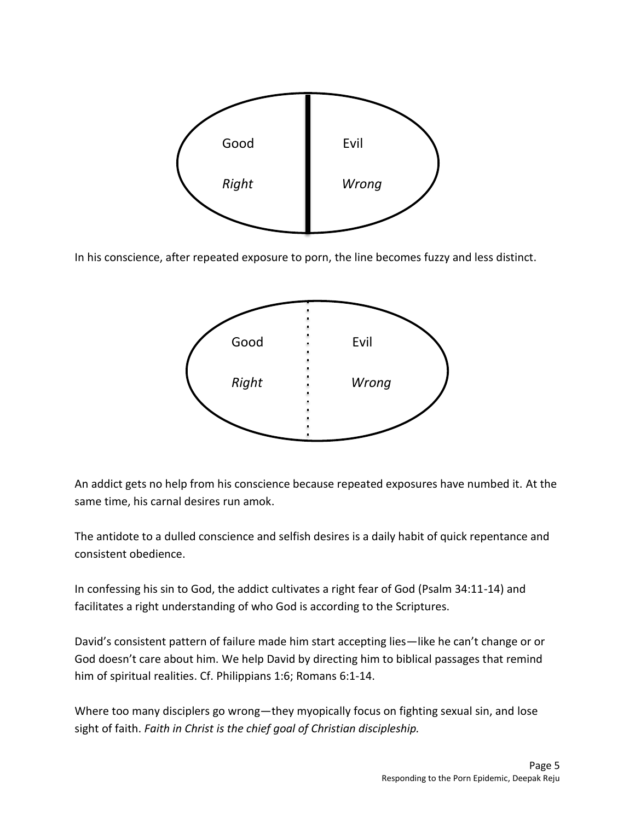

In his conscience, after repeated exposure to porn, the line becomes fuzzy and less distinct.



An addict gets no help from his conscience because repeated exposures have numbed it. At the same time, his carnal desires run amok.

The antidote to a dulled conscience and selfish desires is a daily habit of quick repentance and consistent obedience.

In confessing his sin to God, the addict cultivates a right fear of God (Psalm 34:11-14) and facilitates a right understanding of who God is according to the Scriptures.

David's consistent pattern of failure made him start accepting lies—like he can't change or or God doesn't care about him. We help David by directing him to biblical passages that remind him of spiritual realities. Cf. Philippians 1:6; Romans 6:1-14.

Where too many disciplers go wrong—they myopically focus on fighting sexual sin, and lose sight of faith. *Faith in Christ is the chief goal of Christian discipleship.*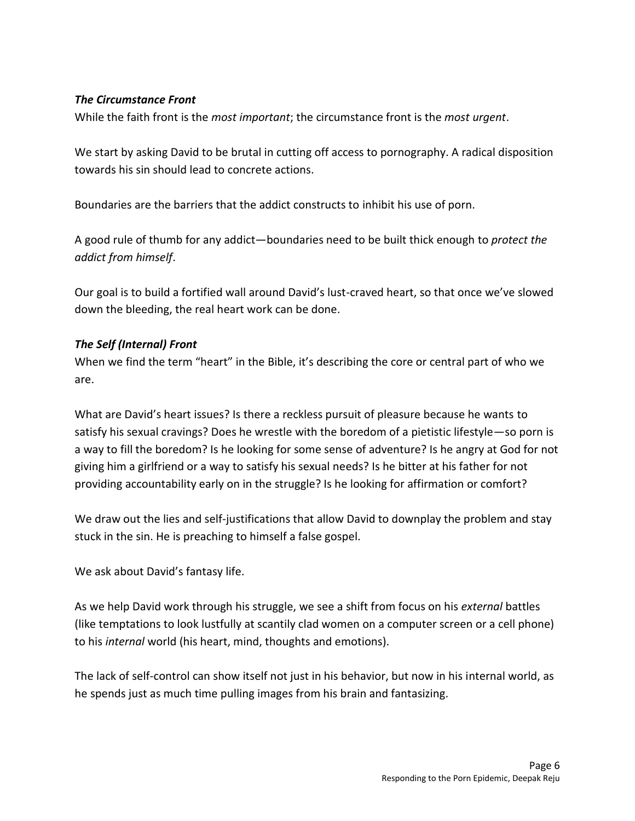## *The Circumstance Front*

While the faith front is the *most important*; the circumstance front is the *most urgent*.

We start by asking David to be brutal in cutting off access to pornography. A radical disposition towards his sin should lead to concrete actions.

Boundaries are the barriers that the addict constructs to inhibit his use of porn.

A good rule of thumb for any addict—boundaries need to be built thick enough to *protect the addict from himself*.

Our goal is to build a fortified wall around David's lust-craved heart, so that once we've slowed down the bleeding, the real heart work can be done.

## *The Self (Internal) Front*

When we find the term "heart" in the Bible, it's describing the core or central part of who we are.

What are David's heart issues? Is there a reckless pursuit of pleasure because he wants to satisfy his sexual cravings? Does he wrestle with the boredom of a pietistic lifestyle—so porn is a way to fill the boredom? Is he looking for some sense of adventure? Is he angry at God for not giving him a girlfriend or a way to satisfy his sexual needs? Is he bitter at his father for not providing accountability early on in the struggle? Is he looking for affirmation or comfort?

We draw out the lies and self-justifications that allow David to downplay the problem and stay stuck in the sin. He is preaching to himself a false gospel.

We ask about David's fantasy life.

As we help David work through his struggle, we see a shift from focus on his *external* battles (like temptations to look lustfully at scantily clad women on a computer screen or a cell phone) to his *internal* world (his heart, mind, thoughts and emotions).

The lack of self-control can show itself not just in his behavior, but now in his internal world, as he spends just as much time pulling images from his brain and fantasizing.